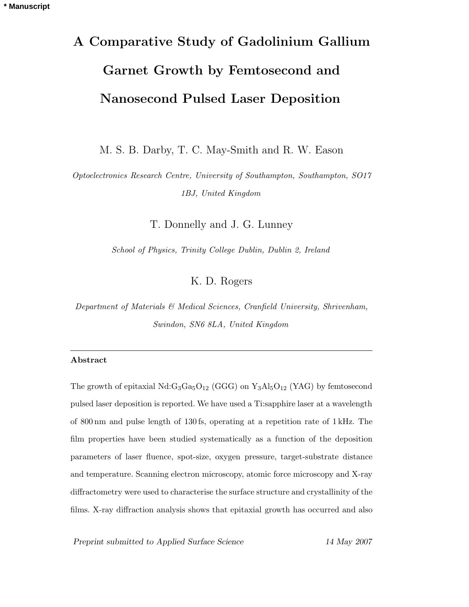# **A Comparative Study of Gadolinium Gallium Garnet Growth by Femtosecond and Nanosecond Pulsed Laser Deposition**

M. S. B. Darby, T. C. May-Smith and R. W. Eason

*Optoelectronics Research Centre, University of Southampton, Southampton, SO17 1BJ, United Kingdom*

T. Donnelly and J. G. Lunney

*School of Physics, Trinity College Dublin, Dublin 2, Ireland*

K. D. Rogers

*Department of Materials & Medical Sciences, Cranfield University, Shrivenham, Swindon, SN6 8LA, United Kingdom*

# **Abstract**

The growth of epitaxial  $Nd:G_3Ga_5O_{12}$  (GGG) on  $Y_3Al_5O_{12}$  (YAG) by femtosecond pulsed laser deposition is reported. We have used a Ti:sapphire laser at a wavelength of 800 nm and pulse length of 130 fs, operating at a repetition rate of 1 kHz. The film properties have been studied systematically as a function of the deposition parameters of laser fluence, spot-size, oxygen pressure, target-substrate distance and temperature. Scanning electron microscopy, atomic force microscopy and X-ray diffractometry were used to characterise the surface structure and crystallinity of the films. X-ray diffraction analysis shows that epitaxial growth has occurred and also

*Preprint submitted to Applied Surface Science 14 May 2007*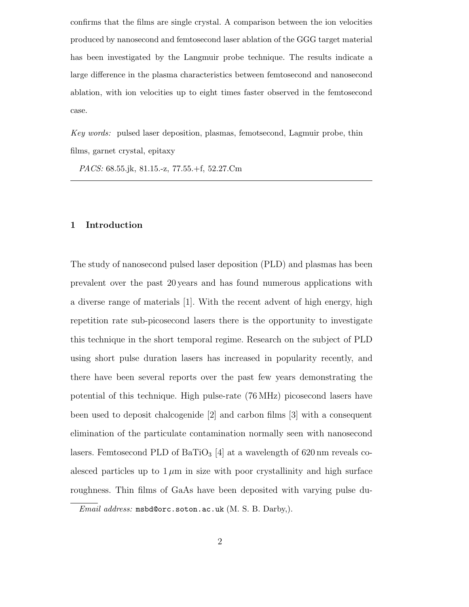confirms that the films are single crystal. A comparison between the ion velocities produced by nanosecond and femtosecond laser ablation of the GGG target material has been investigated by the Langmuir probe technique. The results indicate a large difference in the plasma characteristics between femtosecond and nanosecond ablation, with ion velocities up to eight times faster observed in the femtosecond case.

*Key words:* pulsed laser deposition, plasmas, femotsecond, Lagmuir probe, thin films, garnet crystal, epitaxy

*PACS:* 68.55.jk, 81.15.-z, 77.55.+f, 52.27.Cm

# **1 Introduction**

The study of nanosecond pulsed laser deposition (PLD) and plasmas has been prevalent over the past 20 years and has found numerous applications with a diverse range of materials [1]. With the recent advent of high energy, high repetition rate sub-picosecond lasers there is the opportunity to investigate this technique in the short temporal regime. Research on the subject of PLD using short pulse duration lasers has increased in popularity recently, and there have been several reports over the past few years demonstrating the potential of this technique. High pulse-rate (76 MHz) picosecond lasers have been used to deposit chalcogenide [2] and carbon films [3] with a consequent elimination of the particulate contamination normally seen with nanosecond lasers. Femtosecond PLD of  $BaTiO<sub>3</sub>$  [4] at a wavelength of 620 nm reveals coalesced particles up to  $1 \mu m$  in size with poor crystallinity and high surface roughness. Thin films of GaAs have been deposited with varying pulse du-

*Email address:* msbd@orc.soton.ac.uk (M. S. B. Darby,).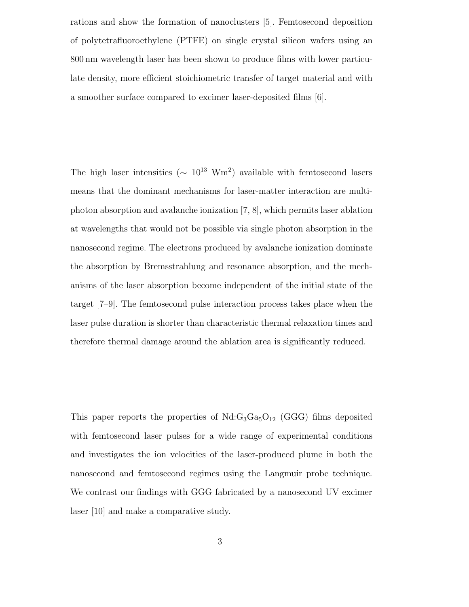rations and show the formation of nanoclusters [5]. Femtosecond deposition of polytetrafluoroethylene (PTFE) on single crystal silicon wafers using an 800 nm wavelength laser has been shown to produce films with lower particulate density, more efficient stoichiometric transfer of target material and with a smoother surface compared to excimer laser-deposited films [6].

The high laser intensities ( $\sim 10^{13} \text{ Wm}^2$ ) available with femtosecond lasers means that the dominant mechanisms for laser-matter interaction are multiphoton absorption and avalanche ionization [7, 8], which permits laser ablation at wavelengths that would not be possible via single photon absorption in the nanosecond regime. The electrons produced by avalanche ionization dominate the absorption by Bremsstrahlungand resonance absorption, and the mechanisms of the laser absorption become independent of the initial state of the target [7–9]. The femtosecond pulse interaction process takes place when the laser pulse duration is shorter than characteristic thermal relaxation times and therefore thermal damage around the ablation area is significantly reduced.

This paper reports the properties of  $Nd:G_3Ga_5O_{12}$  (GGG) films deposited with femtosecond laser pulses for a wide range of experimental conditions and investigates the ion velocities of the laser-produced plume in both the nanosecond and femtosecond regimes using the Langmuir probe technique. We contrast our findings with GGG fabricated by a nanosecond UV excimer laser [10] and make a comparative study.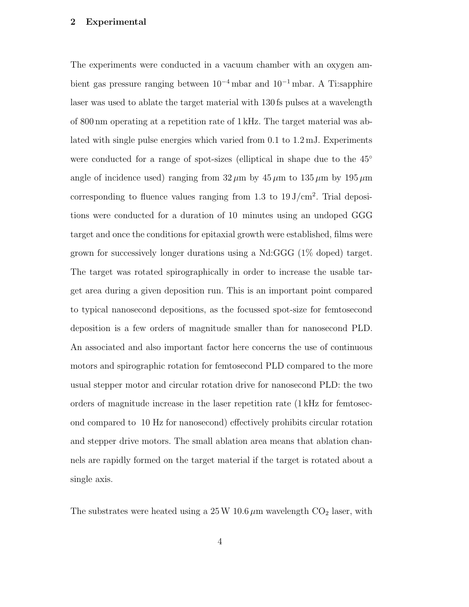# **2 Experimental**

The experiments were conducted in a vacuum chamber with an oxygen ambient gas pressure ranging between  $10^{-4}$  mbar and  $10^{-1}$  mbar. A Ti:sapphire laser was used to ablate the target material with 130 fs pulses at a wavelength of 800 nm operatingat a repetition rate of 1 kHz. The target material was ablated with single pulse energies which varied from 0.1 to 1.2 mJ. Experiments were conducted for a range of spot-sizes (elliptical in shape due to the 45<sup>°</sup> angle of incidence used) ranging from  $32 \mu m$  by  $45 \mu m$  to  $135 \mu m$  by  $195 \mu m$ corresponding to fluence values ranging from 1.3 to  $19 \text{ J/cm}^2$ . Trial depositions were conducted for a duration of 10 minutes usingan undoped GGG target and once the conditions for epitaxial growth were established, films were grown for successively longer durations using a Nd:GGG (1% doped) target. The target was rotated spirographically in order to increase the usable target area during a given deposition run. This is an important point compared to typical nanosecond depositions, as the focussed spot-size for femtosecond deposition is a few orders of magnitude smaller than for nanosecond PLD. An associated and also important factor here concerns the use of continuous motors and spirographic rotation for femtosecond PLD compared to the more usual stepper motor and circular rotation drive for nanosecond PLD: the two orders of magnitude increase in the laser repetition rate (1 kHz for femtosecond compared to 10 Hz for nanosecond) effectively prohibits circular rotation and stepper drive motors. The small ablation area means that ablation channels are rapidly formed on the target material if the target is rotated about a single axis.

The substrates were heated using a  $25 W 10.6 \mu m$  wavelength  $CO<sub>2</sub>$  laser, with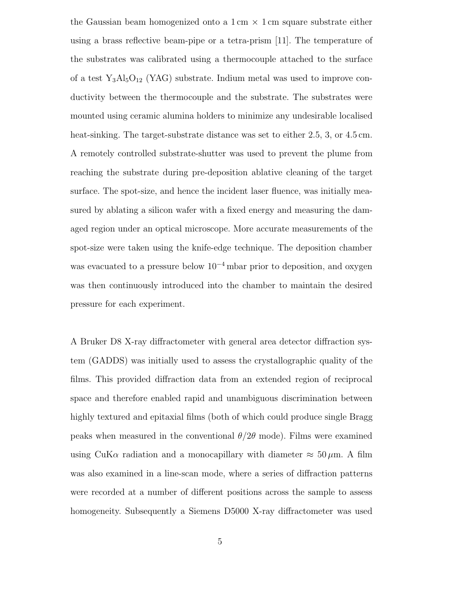the Gaussian beam homogenized onto a  $1 \text{ cm} \times 1 \text{ cm}$  square substrate either using a brass reflective beam-pipe or a tetra-prism  $[11]$ . The temperature of the substrates was calibrated usinga thermocouple attached to the surface of a test  $Y_3Al_5O_{12}$  (YAG) substrate. Indium metal was used to improve conductivity between the thermocouple and the substrate. The substrates were mounted using ceramic alumina holders to minimize any undesirable localised heat-sinking. The target-substrate distance was set to either 2.5, 3, or 4.5 cm. A remotely controlled substrate-shutter was used to prevent the plume from reaching the substrate during pre-deposition ablative cleaning of the target surface. The spot-size, and hence the incident laser fluence, was initially measured by ablating a silicon wafer with a fixed energy and measuring the damaged region under an optical microscope. More accurate measurements of the spot-size were taken using the knife-edge technique. The deposition chamber was evacuated to a pressure below  $10^{-4}$  mbar prior to deposition, and oxygen was then continuously introduced into the chamber to maintain the desired pressure for each experiment.

A Bruker D8 X-ray diffractometer with general area detector diffraction system (GADDS) was initially used to assess the crystallographic quality of the films. This provided diffraction data from an extended region of reciprocal space and therefore enabled rapid and unambiguous discrimination between highly textured and epitaxial films (both of which could produce single Bragg peaks when measured in the conventional  $\theta/2\theta$  mode). Films were examined using CuK $\alpha$  radiation and a monocapillary with diameter  $\approx 50 \,\mu$ m. A film was also examined in a line-scan mode, where a series of diffraction patterns were recorded at a number of different positions across the sample to assess homogeneity. Subsequently a Siemens D5000 X-ray diffractometer was used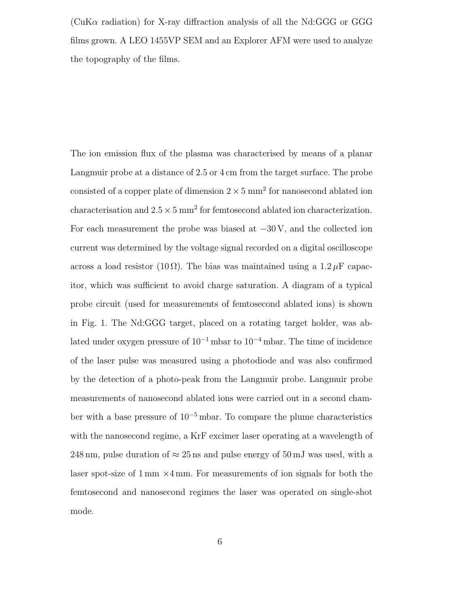$(CuK\alpha$  radiation) for X-ray diffraction analysis of all the Nd:GGG or GGG films grown. A LEO 1455VP SEM and an Explorer AFM were used to analyze the topography of the films.

The ion emission flux of the plasma was characterised by means of a planar Langmuir probe at a distance of 2.5 or 4 cm from the target surface. The probe consisted of a copper plate of dimension  $2 \times 5$  mm<sup>2</sup> for nanosecond ablated ion characterisation and  $2.5 \times 5 \text{ mm}^2$  for femtosecond ablated ion characterization. For each measurement the probe was biased at  $-30$  V, and the collected ion current was determined by the voltage signal recorded on a digital oscilloscope across a load resistor  $(10 \Omega)$ . The bias was maintained using a  $1.2 \mu$ F capacitor, which was sufficient to avoid charge saturation. A diagram of a typical probe circuit (used for measurements of femtosecond ablated ions) is shown in Fig. 1. The Nd:GGG target, placed on a rotating target holder, was ablated under oxygen pressure of  $10^{-1}$  mbar to  $10^{-4}$  mbar. The time of incidence of the laser pulse was measured usinga photodiode and was also confirmed by the detection of a photo-peak from the Langmuir probe. Langmuir probe measurements of nanosecond ablated ions were carried out in a second chamber with a base pressure of  $10^{-5}$  mbar. To compare the plume characteristics with the nanosecond regime, a KrF excimer laser operating at a wavelength of 248 nm, pulse duration of  $\approx$  25 ns and pulse energy of 50 mJ was used, with a laser spot-size of  $1 \text{ mm} \times 4 \text{ mm}$ . For measurements of ion signals for both the femtosecond and nanosecond regimes the laser was operated on single-shot mode.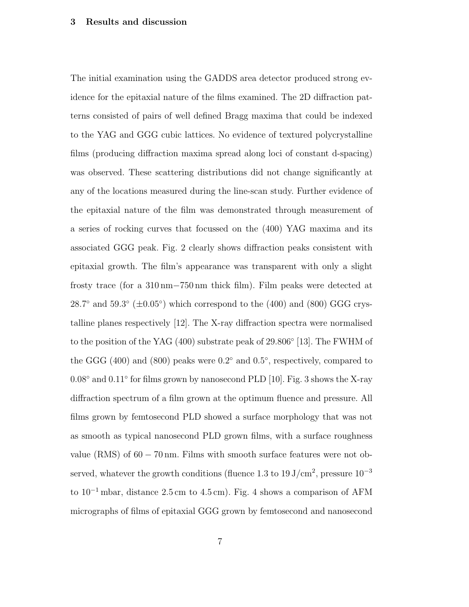#### **3 Results and discussion**

The initial examination using the GADDS area detector produced strong evidence for the epitaxial nature of the films examined. The 2D diffraction patterns consisted of pairs of well defined Bragg maxima that could be indexed to the YAG and GGG cubic lattices. No evidence of textured polycrystalline films (producing diffraction maxima spread along loci of constant d-spacing) was observed. These scattering distributions did not change significantly at any of the locations measured during the line-scan study. Further evidence of the epitaxial nature of the film was demonstrated through measurement of a series of rocking curves that focussed on the  $(400)$  YAG maxima and its associated GGG peak. Fig. 2 clearly shows diffraction peaks consistent with epitaxial growth. The film's appearance was transparent with only a slight frosty trace (for a 310 nm−750 nm thick film). Film peaks were detected at 28.7° and 59.3° ( $\pm 0.05$ °) which correspond to the (400) and (800) GGG crystalline planes respectively [12]. The X-ray diffraction spectra were normalised to the position of the YAG (400) substrate peak of 29.806◦ [13]. The FWHM of the GGG (400) and (800) peaks were  $0.2°$  and  $0.5°$ , respectively, compared to 0.08◦ and 0.11◦ for films grown by nanosecond PLD [10]. Fig. 3 shows the X-ray diffraction spectrum of a film grown at the optimum fluence and pressure. All films grown by femtosecond PLD showed a surface morphology that was not as smooth as typical nanosecond PLD grown films, with a surface roughness value (RMS) of  $60 - 70$  nm. Films with smooth surface features were not observed, whatever the growth conditions (fluence 1.3 to  $19 \text{ J/cm}^2$ , pressure  $10^{-3}$ to 10−<sup>1</sup> mbar, distance 2.5 cm to 4.5 cm). Fig. 4 shows a comparison of AFM micrographs of films of epitaxial GGG grown by femtosecond and nanosecond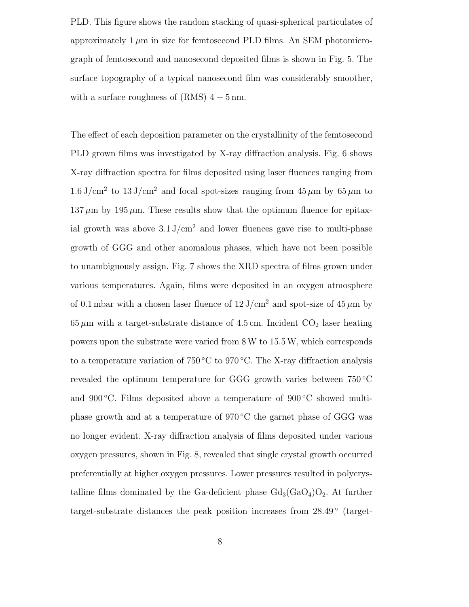PLD. This figure shows the random stacking of quasi-spherical particulates of approximately  $1 \mu m$  in size for femtosecond PLD films. An SEM photomicrograph of femtosecond and nanosecond deposited films is shown in Fig. 5. The surface topography of a typical nanosecond film was considerably smoother, with a surface roughness of  $(RMS)$  4 – 5 nm.

The effect of each deposition parameter on the crystallinity of the femtosecond PLD grown films was investigated by X-ray diffraction analysis. Fig. 6 shows X-ray diffraction spectra for films deposited using laser fluences ranging from  $1.6 \text{ J/cm}^2$  to  $13 \text{ J/cm}^2$  and focal spot-sizes ranging from  $45 \mu m$  by  $65 \mu m$  to  $137 \mu m$  by  $195 \mu m$ . These results show that the optimum fluence for epitaxial growth was above  $3.1 \text{ J/cm}^2$  and lower fluences gave rise to multi-phase growth of GGG and other anomalous phases, which have not been possible to unambiguously assign. Fig. 7 shows the XRD spectra of films grown under various temperatures. Again, films were deposited in an oxygen atmosphere of 0.1 mbar with a chosen laser fluence of  $12 \text{ J/cm}^2$  and spot-size of  $45 \mu \text{m}$  by  $65 \,\mu\text{m}$  with a target-substrate distance of 4.5 cm. Incident  $CO_2$  laser heating powers upon the substrate were varied from 8W to 15.5W, which corresponds to a temperature variation of 750 °C to 970 °C. The X-ray diffraction analysis revealed the optimum temperature for GGG growth varies between 750 ◦C and 900 $\degree$ C. Films deposited above a temperature of 900 $\degree$ C showed multiphase growth and at a temperature of 970 ◦C the garnet phase of GGG was no longer evident. X-ray diffraction analysis of films deposited under various oxygen pressures, shown in Fig. 8, revealed that single crystal growth occurred preferentially at higher oxygen pressures. Lower pressures resulted in polycrystalline films dominated by the Ga-deficient phase  $Gd_3(GaO_4)O_2$ . At further target-substrate distances the peak position increases from  $28.49^{\circ}$  (target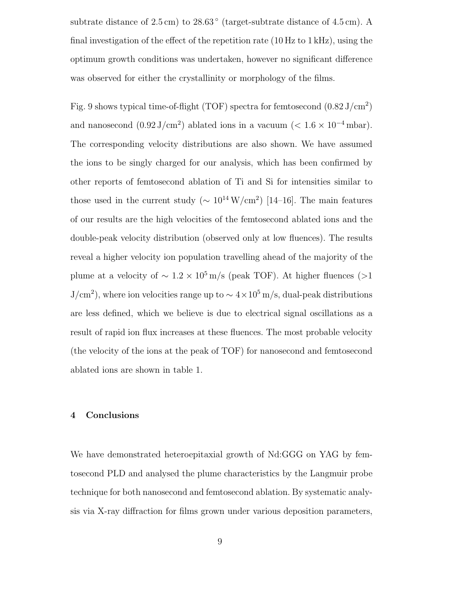subtrate distance of  $2.5 \text{ cm}$ ) to  $28.63 \text{°}$  (target-subtrate distance of  $4.5 \text{ cm}$ ). A final investigation of the effect of the repetition rate (10 Hz to 1 kHz), using the optimum growth conditions was undertaken, however no significant difference was observed for either the crystallinity or morphology of the films.

Fig. 9 shows typical time-of-flight (TOF) spectra for femtosecond  $(0.82 \text{ J/cm}^2)$ and nanosecond  $(0.92 \text{ J/cm}^2)$  ablated ions in a vacuum ( $< 1.6 \times 10^{-4}$  mbar). The corresponding velocity distributions are also shown. We have assumed the ions to be singly charged for our analysis, which has been confirmed by other reports of femtosecond ablation of Ti and Si for intensities similar to those used in the current study ( $\sim 10^{14} \,\mathrm{W/cm^2}$ ) [14–16]. The main features of our results are the high velocities of the femtosecond ablated ions and the double-peak velocity distribution (observed only at low fluences). The results reveal a higher velocity ion population travelling ahead of the majority of the plume at a velocity of  $\sim 1.2 \times 10^5$  m/s (peak TOF). At higher fluences (>1  $J/cm<sup>2</sup>$ , where ion velocities range up to  $\sim 4 \times 10<sup>5</sup>$  m/s, dual-peak distributions are less defined, which we believe is due to electrical signal oscillations as a result of rapid ion flux increases at these fluences. The most probable velocity (the velocity of the ions at the peak of TOF) for nanosecond and femtosecond ablated ions are shown in table 1.

#### **4 Conclusions**

We have demonstrated heteroepitaxial growth of Nd:GGG on YAG by femtosecond PLD and analysed the plume characteristics by the Langmuir probe technique for both nanosecond and femtosecond ablation. By systematic analysis via X-ray diffraction for films grown under various deposition parameters,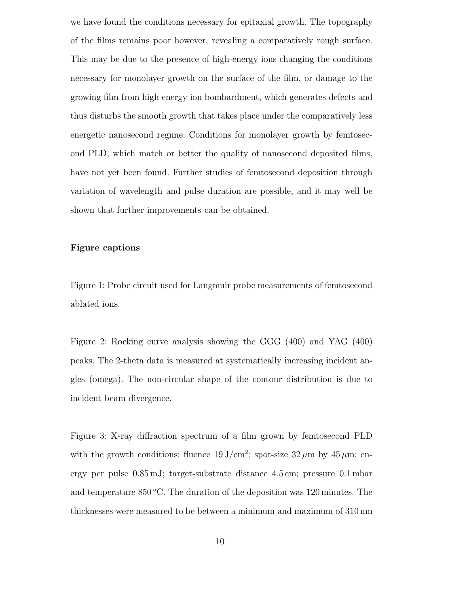we have found the conditions necessary for epitaxial growth. The topography of the films remains poor however, revealinga comparatively rough surface. This may be due to the presence of high-energy ions changing the conditions necessary for monolayer growth on the surface of the film, or damage to the growing film from high energy ion bombardment, which generates defects and thus disturbs the smooth growth that takes place under the comparatively less energetic nanosecond regime. Conditions for monolayer growth by femtosecond PLD, which match or better the quality of nanosecond deposited films, have not yet been found. Further studies of femtosecond deposition through variation of wavelength and pulse duration are possible, and it may well be shown that further improvements can be obtained.

## **Figure captions**

Figure 1: Probe circuit used for Langmuir probe measurements of femtosecond ablated ions.

Figure 2: Rocking curve analysis showing the GGG (400) and YAG (400) peaks. The 2-theta data is measured at systematically increasingincident angles (omega). The non-circular shape of the contour distribution is due to incident beam divergence.

Figure 3: X-ray diffraction spectrum of a film grown by femtosecond PLD with the growth conditions: fluence  $19 \text{ J/cm}^2$ ; spot-size  $32 \mu \text{m}$  by  $45 \mu \text{m}$ ; energy per pulse 0.85 mJ; target-substrate distance 4.5 cm; pressure 0.1 mbar and temperature  $850^{\circ}$ C. The duration of the deposition was 120 minutes. The thicknesses were measured to be between a minimum and maximum of 310 nm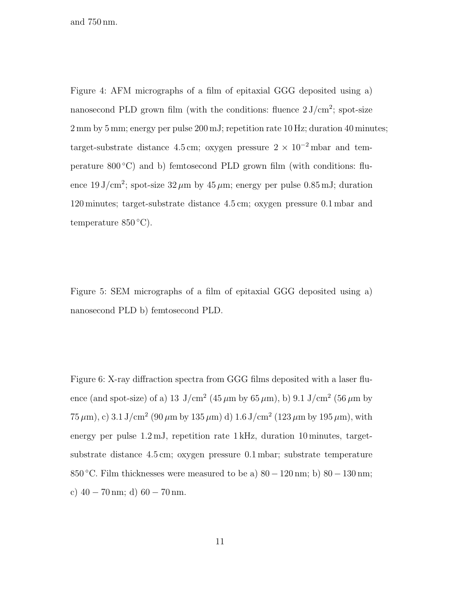and 750 nm.

Figure 4: AFM micrographs of a film of epitaxial GGG deposited using a) nanosecond PLD grown film (with the conditions: fluence  $2 \text{ J/cm}^2$ ; spot-size 2 mm by 5 mm; energy per pulse 200 mJ; repetition rate 10 Hz; duration 40 minutes; target-substrate distance 4.5 cm; oxygen pressure  $2 \times 10^{-2}$  mbar and temperature  $800\degree C$ ) and b) femtosecond PLD grown film (with conditions: fluence  $19 \text{ J/cm}^2$ ; spot-size  $32 \mu m$  by  $45 \mu m$ ; energy per pulse 0.85 mJ; duration 120 minutes; target-substrate distance 4.5 cm; oxygen pressure 0.1 mbar and temperature  $850^{\circ}$ C).

Figure 5: SEM micrographs of a film of epitaxial GGG deposited using a) nanosecond PLD b) femtosecond PLD.

Figure 6: X-ray diffraction spectra from GGG films deposited with a laser fluence (and spot-size) of a) 13 J/cm<sup>2</sup> (45  $\mu$ m by 65  $\mu$ m), b) 9.1 J/cm<sup>2</sup> (56  $\mu$ m by  $75 \,\mu\text{m}$ , c)  $3.1 \,\text{J/cm}^2$  (90  $\mu$ m by 135  $\mu$ m) d)  $1.6 \,\text{J/cm}^2$  (123  $\mu$ m by 195  $\mu$ m), with energy per pulse 1.2 mJ, repetition rate 1 kHz, duration 10 minutes, targetsubstrate distance 4.5 cm; oxygen pressure 0.1 mbar; substrate temperature 850 °C. Film thicknesses were measured to be a)  $80 - 120$  nm; b)  $80 - 130$  nm; c)  $40 - 70$  nm; d)  $60 - 70$  nm.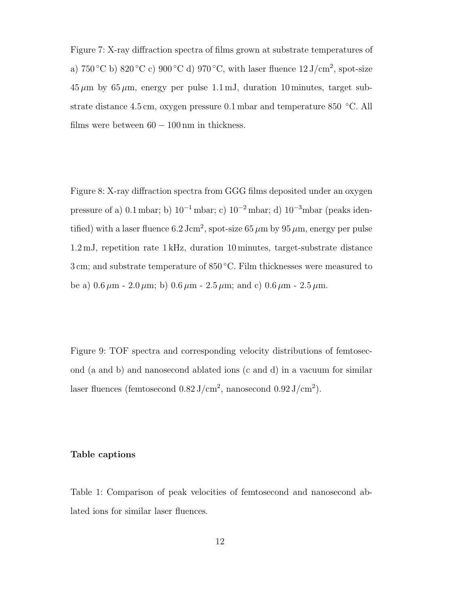Figure 7: X-ray diffraction spectra of films grown at substrate temperatures of a) 750 °C b) 820 °C c) 900 °C d) 970 °C, with laser fluence  $12 \text{ J/cm}^2$ , spot-size  $45 \mu m$  by  $65 \mu m$ , energy per pulse 1.1 mJ, duration 10 minutes, target substrate distance 4.5 cm, oxygen pressure 0.1 mbar and temperature 850 °C. All films were between  $60 - 100 \,\mathrm{nm}$  in thickness.

Figure 8: X-ray diffraction spectra from GGG films deposited under an oxygen pressure of a) 0.1 mbar; b)  $10^{-1}$  mbar; c)  $10^{-2}$  mbar; d)  $10^{-3}$ mbar (peaks identified) with a laser fluence 6.2 Jcm<sup>2</sup>, spot-size 65  $\mu$ m by 95  $\mu$ m, energy per pulse 1.2 mJ, repetition rate 1 kHz, duration 10 minutes, target-substrate distance 3 cm; and substrate temperature of 850 ◦C. Film thicknesses were measured to be a)  $0.6 \,\mu\text{m}$  -  $2.0 \,\mu\text{m}$ ; b)  $0.6 \,\mu\text{m}$  -  $2.5 \,\mu\text{m}$ ; and c)  $0.6 \,\mu\text{m}$  -  $2.5 \,\mu\text{m}$ .

Figure 9: TOF spectra and corresponding velocity distributions of femtosecond (a and b) and nanosecond ablated ions (c and d) in a vacuum for similar laser fluences (femtosecond  $0.82 \text{ J/cm}^2$ , nanosecond  $0.92 \text{ J/cm}^2$ ).

# **Table captions**

Table 1: Comparison of peak velocities of femtosecond and nanosecond ablated ions for similar laser fluences.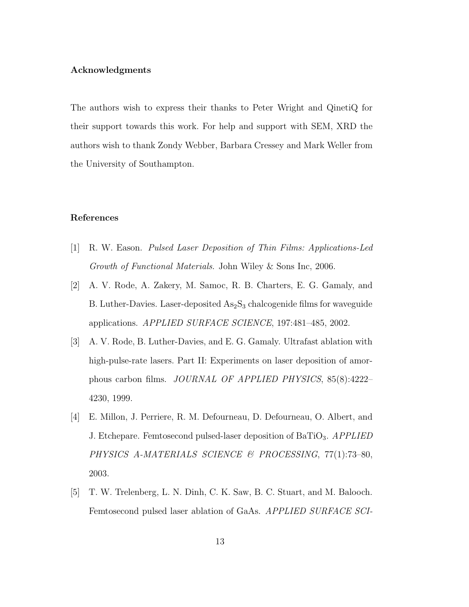# **Acknowledgments**

The authors wish to express their thanks to Peter Wright and QinetiQ for their support towards this work. For help and support with SEM, XRD the authors wish to thank Zondy Webber, Barbara Cressey and Mark Weller from the University of Southampton.

#### **References**

- [1] R. W. Eason. *Pulsed Laser Deposition of Thin Films: Applications-Led Growth of Functional Materials*. John Wiley & Sons Inc, 2006.
- [2] A. V. Rode, A. Zakery, M. Samoc, R. B. Charters, E. G. Gamaly, and B. Luther-Davies. Laser-deposited  $As_2S_3$  chalcogenide films for waveguide applications. *APPLIED SURFACE SCIENCE*, 197:481–485, 2002.
- [3] A. V. Rode, B. Luther-Davies, and E. G. Gamaly. Ultrafast ablation with high-pulse-rate lasers. Part II: Experiments on laser deposition of amorphous carbon films. *JOURNAL OF APPLIED PHYSICS*, 85(8):4222– 4230, 1999.
- [4] E. Millon, J. Perriere, R. M. Defourneau, D. Defourneau, O. Albert, and J. Etchepare. Femtosecond pulsed-laser deposition of BaTiO3. *APPLIED PHYSICS A-MATERIALS SCIENCE & PROCESSING*, 77(1):73–80, 2003.
- [5] T. W. Trelenberg, L. N. Dinh, C. K. Saw, B. C. Stuart, and M. Balooch. Femtosecond pulsed laser ablation of GaAs. *APPLIED SURFACE SCI-*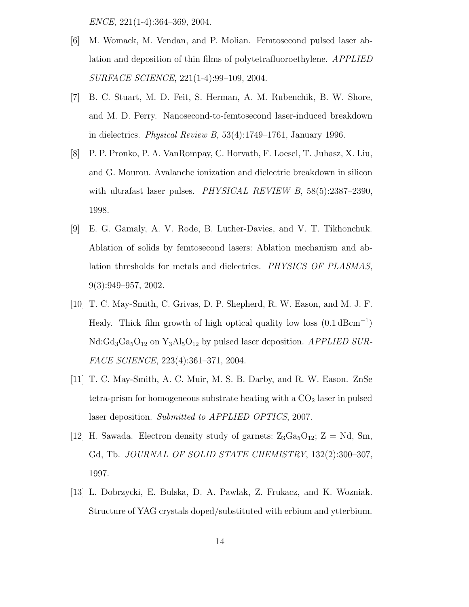*ENCE*, 221(1-4):364–369, 2004.

- [6] M. Womack, M. Vendan, and P. Molian. Femtosecond pulsed laser ablation and deposition of thin films of polytetrafluoroethylene. *APPLIED SURFACE SCIENCE*, 221(1-4):99–109, 2004.
- [7] B. C. Stuart, M. D. Feit, S. Herman, A. M. Rubenchik, B. W. Shore, and M. D. Perry. Nanosecond-to-femtosecond laser-induced breakdown in dielectrics. *Physical Review B*, 53(4):1749–1761, January 1996.
- [8] P. P. Pronko, P. A. VanRompay, C. Horvath, F. Loesel, T. Juhasz, X. Liu, and G. Mourou. Avalanche ionization and dielectric breakdown in silicon with ultrafast laser pulses. *PHYSICAL REVIEW B*, 58(5):2387–2390, 1998.
- [9] E. G. Gamaly, A. V. Rode, B. Luther-Davies, and V. T. Tikhonchuk. Ablation of solids by femtosecond lasers: Ablation mechanism and ablation thresholds for metals and dielectrics. *PHYSICS OF PLASMAS*, 9(3):949–957, 2002.
- [10] T. C. May-Smith, C. Grivas, D. P. Shepherd, R. W. Eason, and M. J. F. Healy. Thick film growth of high optical quality low loss  $(0.1 \text{ dBcm}^{-1})$ Nd:Gd<sub>3</sub>Ga<sub>5</sub>O<sub>12</sub> on Y<sub>3</sub>Al<sub>5</sub>O<sub>12</sub> by pulsed laser deposition. *APPLIED SUR-FACE SCIENCE*, 223(4):361–371, 2004.
- [11] T. C. May-Smith, A. C. Muir, M. S. B. Darby, and R. W. Eason. ZnSe tetra-prism for homogeneous substrate heating with a  $CO<sub>2</sub>$  laser in pulsed laser deposition. *Submitted to APPLIED OPTICS*, 2007.
- [12] H. Sawada. Electron density study of garnets:  $Z_3Ga_5O_{12}$ ; Z = Nd, Sm, Gd, Tb. *JOURNAL OF SOLID STATE CHEMISTRY*, 132(2):300–307, 1997.
- [13] L. Dobrzycki, E. Bulska, D. A. Pawlak, Z. Frukacz, and K. Wozniak. Structure of YAG crystals doped/substituted with erbium and ytterbium.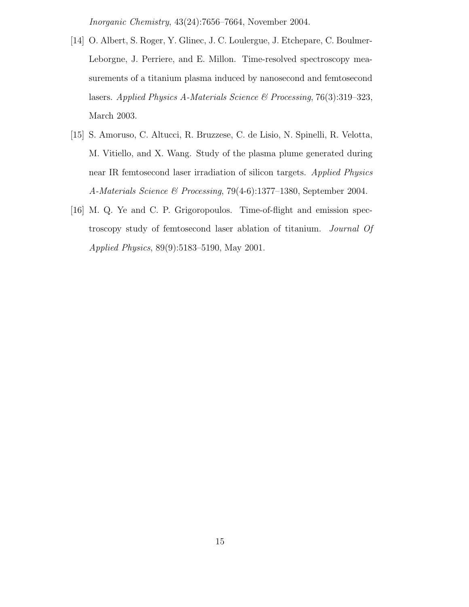*Inorganic Chemistry*, 43(24):7656–7664, November 2004.

- [14] O. Albert, S. Roger, Y. Glinec, J. C. Loulergue, J. Etchepare, C. Boulmer-Leborgne, J. Perriere, and E. Millon. Time-resolved spectroscopy measurements of a titanium plasma induced by nanosecond and femtosecond lasers. *Applied Physics A-Materials Science & Processing*, 76(3):319–323, March 2003.
- [15] S. Amoruso, C. Altucci, R. Bruzzese, C. de Lisio, N. Spinelli, R. Velotta, M. Vitiello, and X. Wang. Study of the plasma plume generated during near IR femtosecond laser irradiation of silicon targets. *Applied Physics A-Materials Science & Processing*, 79(4-6):1377–1380, September 2004.
- [16] M. Q. Ye and C. P. Grigoropoulos. Time-of-flight and emission spectroscopy study of femtosecond laser ablation of titanium. *Journal Of Applied Physics*, 89(9):5183–5190, May 2001.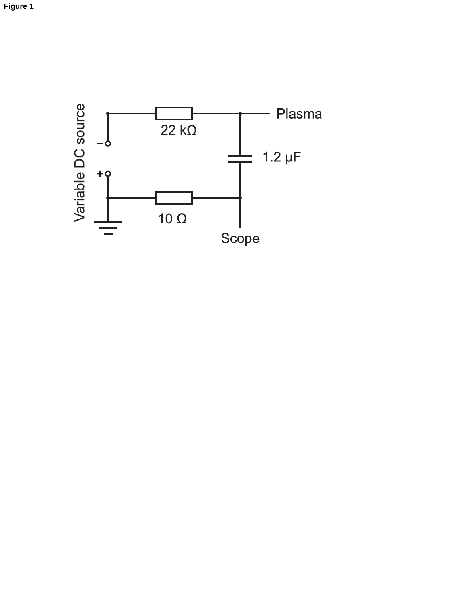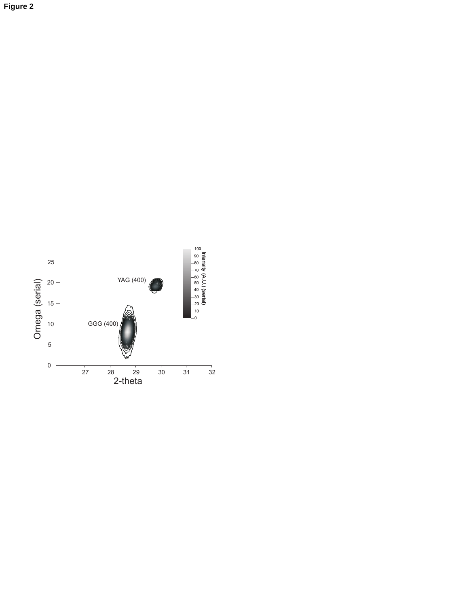

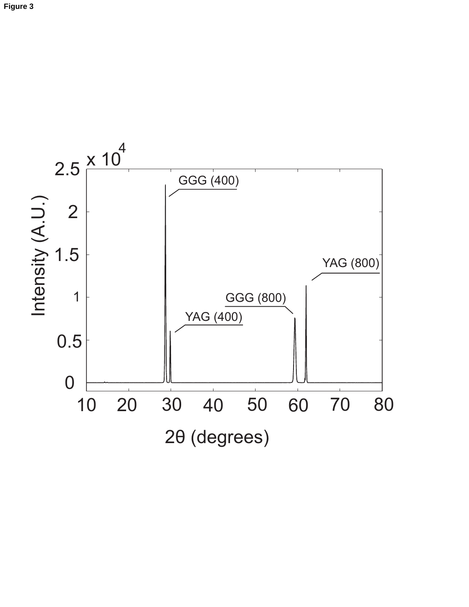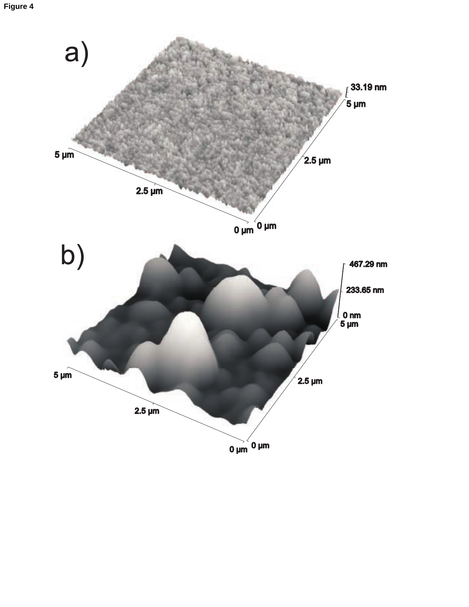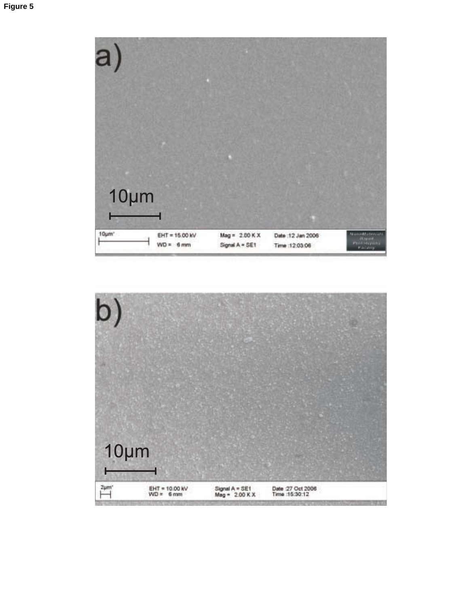

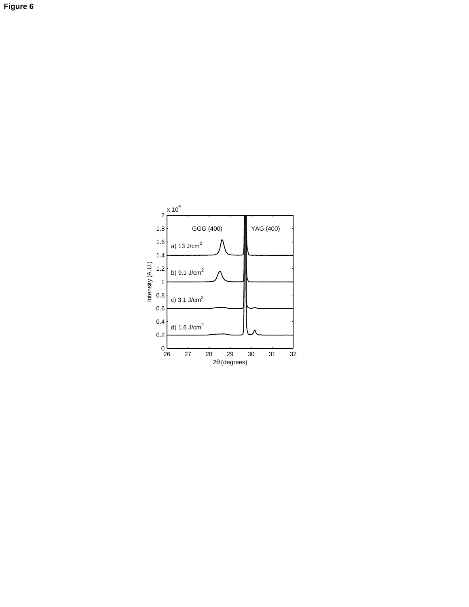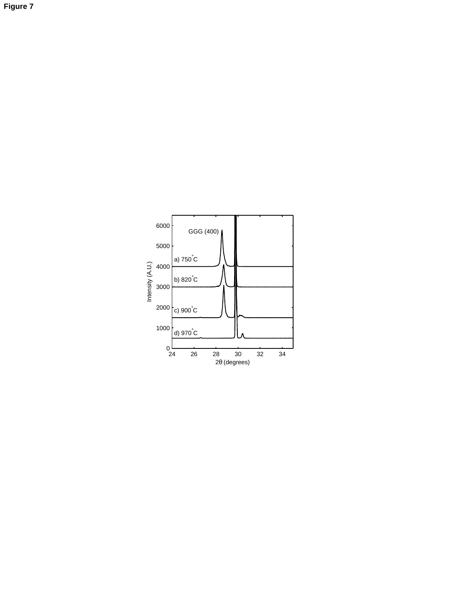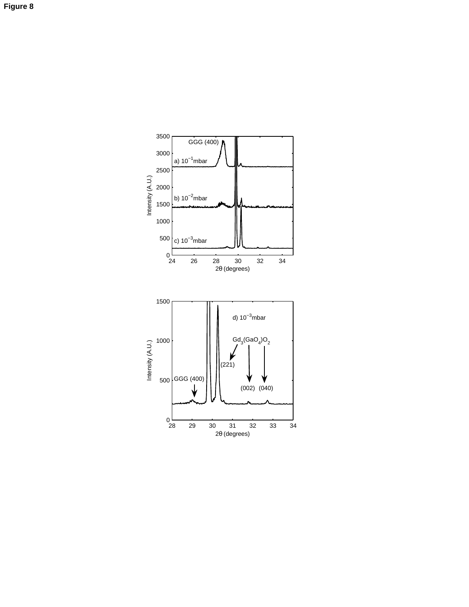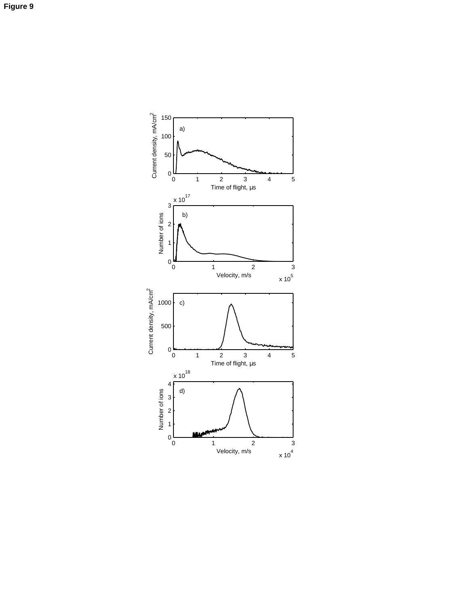